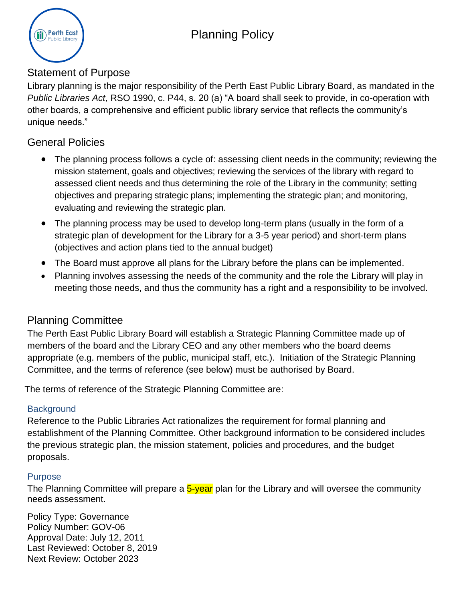

## Statement of Purpose

Library planning is the major responsibility of the Perth East Public Library Board, as mandated in the *Public Libraries Act*, RSO 1990, c. P44, s. 20 (a) "A board shall seek to provide, in co-operation with other boards, a comprehensive and efficient public library service that reflects the community's unique needs."

# General Policies

- The planning process follows a cycle of: assessing client needs in the community; reviewing the mission statement, goals and objectives; reviewing the services of the library with regard to assessed client needs and thus determining the role of the Library in the community; setting objectives and preparing strategic plans; implementing the strategic plan; and monitoring, evaluating and reviewing the strategic plan.
- The planning process may be used to develop long-term plans (usually in the form of a strategic plan of development for the Library for a 3-5 year period) and short-term plans (objectives and action plans tied to the annual budget)
- The Board must approve all plans for the Library before the plans can be implemented.
- Planning involves assessing the needs of the community and the role the Library will play in meeting those needs, and thus the community has a right and a responsibility to be involved.

## Planning Committee

The Perth East Public Library Board will establish a Strategic Planning Committee made up of members of the board and the Library CEO and any other members who the board deems appropriate (e.g. members of the public, municipal staff, etc.). Initiation of the Strategic Planning Committee, and the terms of reference (see below) must be authorised by Board.

The terms of reference of the Strategic Planning Committee are:

### **Background**

Reference to the Public Libraries Act rationalizes the requirement for formal planning and establishment of the Planning Committee. Other background information to be considered includes the previous strategic plan, the mission statement, policies and procedures, and the budget proposals.

### **Purpose**

The Planning Committee will prepare a 5-year plan for the Library and will oversee the community needs assessment.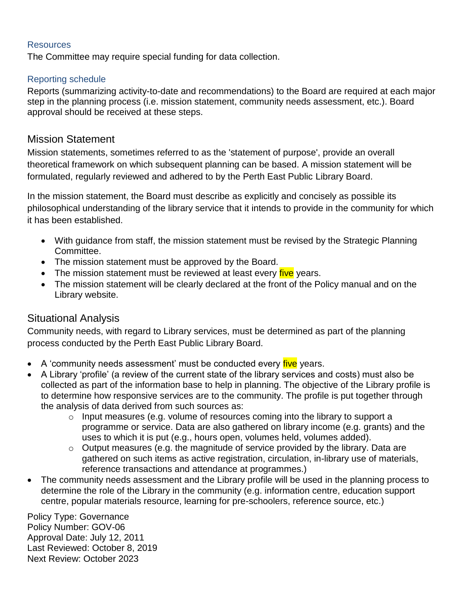#### **Resources**

The Committee may require special funding for data collection.

#### Reporting schedule

Reports (summarizing activity-to-date and recommendations) to the Board are required at each major step in the planning process (i.e. mission statement, community needs assessment, etc.). Board approval should be received at these steps.

### Mission Statement

Mission statements, sometimes referred to as the 'statement of purpose', provide an overall theoretical framework on which subsequent planning can be based. A mission statement will be formulated, regularly reviewed and adhered to by the Perth East Public Library Board.

In the mission statement, the Board must describe as explicitly and concisely as possible its philosophical understanding of the library service that it intends to provide in the community for which it has been established.

- With guidance from staff, the mission statement must be revised by the Strategic Planning Committee.
- The mission statement must be approved by the Board.
- The mission statement must be reviewed at least every five years.
- The mission statement will be clearly declared at the front of the Policy manual and on the Library website.

### Situational Analysis

Community needs, with regard to Library services, must be determined as part of the planning process conducted by the Perth East Public Library Board.

- A 'community needs assessment' must be conducted every *five* years.
- A Library 'profile' (a review of the current state of the library services and costs) must also be collected as part of the information base to help in planning. The objective of the Library profile is to determine how responsive services are to the community. The profile is put together through the analysis of data derived from such sources as:
	- o Input measures (e.g. volume of resources coming into the library to support a programme or service. Data are also gathered on library income (e.g. grants) and the uses to which it is put (e.g., hours open, volumes held, volumes added).
	- $\circ$  Output measures (e.g. the magnitude of service provided by the library. Data are gathered on such items as active registration, circulation, in-library use of materials, reference transactions and attendance at programmes.)
- The community needs assessment and the Library profile will be used in the planning process to determine the role of the Library in the community (e.g. information centre, education support centre, popular materials resource, learning for pre-schoolers, reference source, etc.)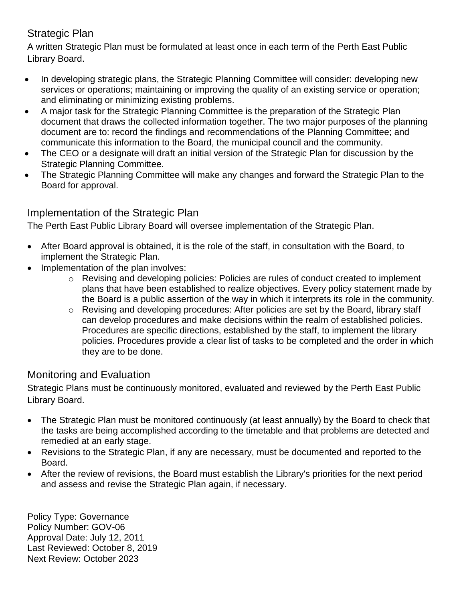# Strategic Plan

A written Strategic Plan must be formulated at least once in each term of the Perth East Public Library Board.

- In developing strategic plans, the Strategic Planning Committee will consider: developing new services or operations; maintaining or improving the quality of an existing service or operation; and eliminating or minimizing existing problems.
- A major task for the Strategic Planning Committee is the preparation of the Strategic Plan document that draws the collected information together. The two major purposes of the planning document are to: record the findings and recommendations of the Planning Committee; and communicate this information to the Board, the municipal council and the community.
- The CEO or a designate will draft an initial version of the Strategic Plan for discussion by the Strategic Planning Committee.
- The Strategic Planning Committee will make any changes and forward the Strategic Plan to the Board for approval.

# Implementation of the Strategic Plan

The Perth East Public Library Board will oversee implementation of the Strategic Plan.

- After Board approval is obtained, it is the role of the staff, in consultation with the Board, to implement the Strategic Plan.
- Implementation of the plan involves:
	- o Revising and developing policies: Policies are rules of conduct created to implement plans that have been established to realize objectives. Every policy statement made by the Board is a public assertion of the way in which it interprets its role in the community.
	- $\circ$  Revising and developing procedures: After policies are set by the Board, library staff can develop procedures and make decisions within the realm of established policies. Procedures are specific directions, established by the staff, to implement the library policies. Procedures provide a clear list of tasks to be completed and the order in which they are to be done.

## Monitoring and Evaluation

Strategic Plans must be continuously monitored, evaluated and reviewed by the Perth East Public Library Board.

- The Strategic Plan must be monitored continuously (at least annually) by the Board to check that the tasks are being accomplished according to the timetable and that problems are detected and remedied at an early stage.
- Revisions to the Strategic Plan, if any are necessary, must be documented and reported to the Board.
- After the review of revisions, the Board must establish the Library's priorities for the next period and assess and revise the Strategic Plan again, if necessary.